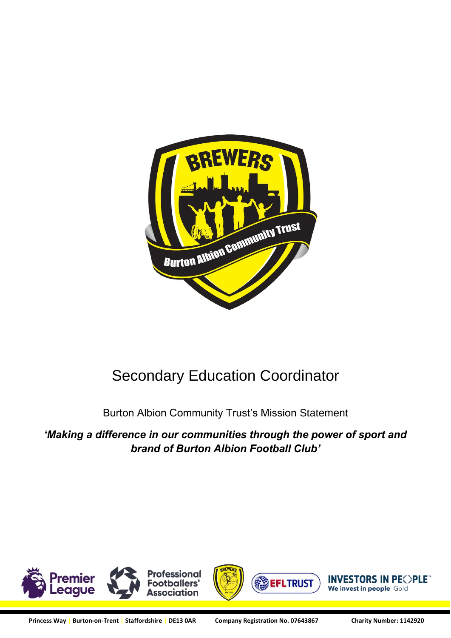

# Secondary Education Coordinator

Burton Albion Community Trust's Mission Statement

*'Making a difference in our communities through the power of sport and brand of Burton Albion Football Club'*

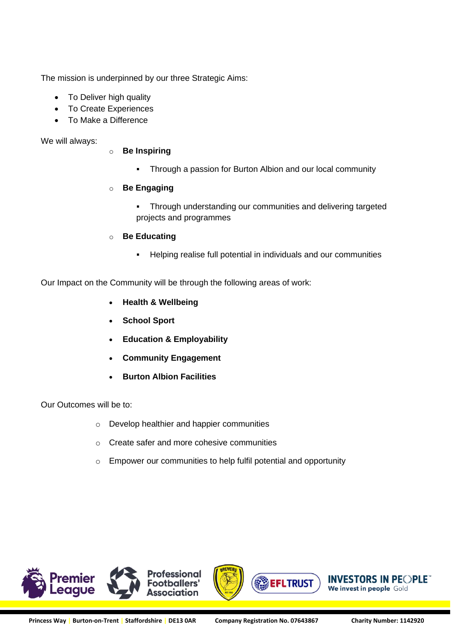The mission is underpinned by our three Strategic Aims:

- To Deliver high quality
- To Create Experiences
- To Make a Difference

We will always:

- o **Be Inspiring**
	- Through a passion for Burton Albion and our local community

#### o **Be Engaging**

- **Through understanding our communities and delivering targeted** projects and programmes
- o **Be Educating**
	- Helping realise full potential in individuals and our communities

Our Impact on the Community will be through the following areas of work:

- **Health & Wellbeing**
- **School Sport**
- **Education & Employability**
- **Community Engagement**
- **Burton Albion Facilities**

Our Outcomes will be to:

- o Develop healthier and happier communities
- o Create safer and more cohesive communities
- o Empower our communities to help fulfil potential and opportunity

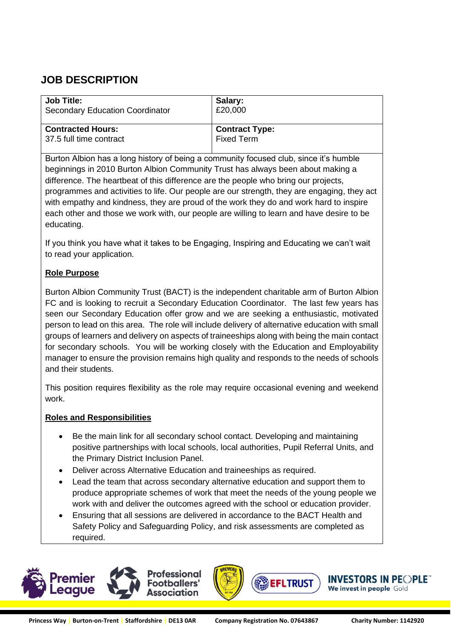## **JOB DESCRIPTION**

| <b>Job Title:</b>                      | Salary:               |
|----------------------------------------|-----------------------|
| <b>Secondary Education Coordinator</b> | £20,000               |
| <b>Contracted Hours:</b>               | <b>Contract Type:</b> |
| 37.5 full time contract                | <b>Fixed Term</b>     |

Burton Albion has a long history of being a community focused club, since it's humble beginnings in 2010 Burton Albion Community Trust has always been about making a difference. The heartbeat of this difference are the people who bring our projects, programmes and activities to life. Our people are our strength, they are engaging, they act with empathy and kindness, they are proud of the work they do and work hard to inspire each other and those we work with, our people are willing to learn and have desire to be educating.

If you think you have what it takes to be Engaging, Inspiring and Educating we can't wait to read your application.

#### **Role Purpose**

Burton Albion Community Trust (BACT) is the independent charitable arm of Burton Albion FC and is looking to recruit a Secondary Education Coordinator. The last few years has seen our Secondary Education offer grow and we are seeking a enthusiastic, motivated person to lead on this area. The role will include delivery of alternative education with small groups of learners and delivery on aspects of traineeships along with being the main contact for secondary schools. You will be working closely with the Education and Employability manager to ensure the provision remains high quality and responds to the needs of schools and their students.

This position requires flexibility as the role may require occasional evening and weekend work.

#### **Roles and Responsibilities**

- Be the main link for all secondary school contact. Developing and maintaining positive partnerships with local schools, local authorities, Pupil Referral Units, and the Primary District Inclusion Panel.
- Deliver across Alternative Education and traineeships as required.
- Lead the team that across secondary alternative education and support them to produce appropriate schemes of work that meet the needs of the young people we work with and deliver the outcomes agreed with the school or education provider.
- Ensuring that all sessions are delivered in accordance to the BACT Health and Safety Policy and Safeguarding Policy, and risk assessments are completed as required.







/ESTORS IN PE©PLE™

We invest in people Gold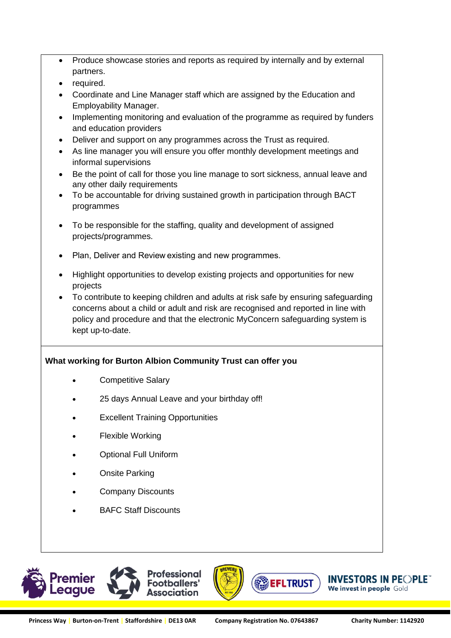- Produce showcase stories and reports as required by internally and by external partners.
- required.
- Coordinate and Line Manager staff which are assigned by the Education and Employability Manager.
- Implementing monitoring and evaluation of the programme as required by funders and education providers
- Deliver and support on any programmes across the Trust as required.
- As line manager you will ensure you offer monthly development meetings and informal supervisions
- Be the point of call for those you line manage to sort sickness, annual leave and any other daily requirements
- To be accountable for driving sustained growth in participation through BACT programmes
- To be responsible for the staffing, quality and development of assigned projects/programmes.
- Plan, Deliver and Review existing and new programmes.
- Highlight opportunities to develop existing projects and opportunities for new projects
- To contribute to keeping children and adults at risk safe by ensuring safeguarding concerns about a child or adult and risk are recognised and reported in line with policy and procedure and that the electronic MyConcern safeguarding system is kept up-to-date.

### **What working for Burton Albion Community Trust can offer you**

- Competitive Salary
- 25 days Annual Leave and your birthday off!
- **Excellent Training Opportunities**
- Flexible Working
- Optional Full Uniform
- Onsite Parking
- Company Discounts
- BAFC Staff Discounts





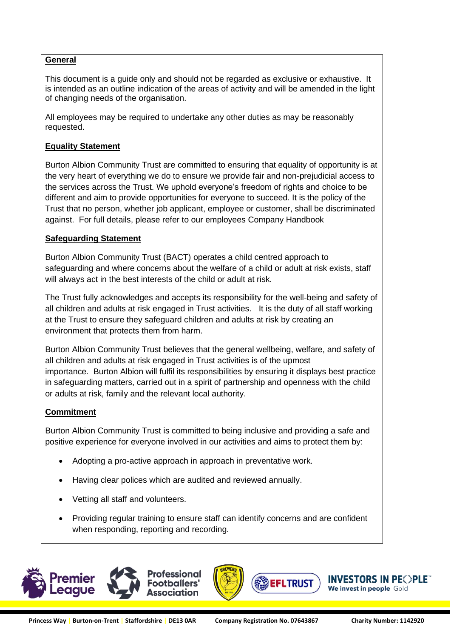#### **General**

This document is a guide only and should not be regarded as exclusive or exhaustive. It is intended as an outline indication of the areas of activity and will be amended in the light of changing needs of the organisation.

All employees may be required to undertake any other duties as may be reasonably requested.

#### **Equality Statement**

Burton Albion Community Trust are committed to ensuring that equality of opportunity is at the very heart of everything we do to ensure we provide fair and non-prejudicial access to the services across the Trust. We uphold everyone's freedom of rights and choice to be different and aim to provide opportunities for everyone to succeed. It is the policy of the Trust that no person, whether job applicant, employee or customer, shall be discriminated against. For full details, please refer to our employees Company Handbook

#### **Safeguarding Statement**

Burton Albion Community Trust (BACT) operates a child centred approach to safeguarding and where concerns about the welfare of a child or adult at risk exists, staff will always act in the best interests of the child or adult at risk.

The Trust fully acknowledges and accepts its responsibility for the well-being and safety of all children and adults at risk engaged in Trust activities. It is the duty of all staff working at the Trust to ensure they safeguard children and adults at risk by creating an environment that protects them from harm.

Burton Albion Community Trust believes that the general wellbeing, welfare, and safety of all children and adults at risk engaged in Trust activities is of the upmost importance. Burton Albion will fulfil its responsibilities by ensuring it displays best practice in safeguarding matters, carried out in a spirit of partnership and openness with the child or adults at risk, family and the relevant local authority.

#### **Commitment**

Burton Albion Community Trust is committed to being inclusive and providing a safe and positive experience for everyone involved in our activities and aims to protect them by:

- Adopting a pro-active approach in approach in preventative work.
- Having clear polices which are audited and reviewed annually.
- Vetting all staff and volunteers.
- Providing regular training to ensure staff can identify concerns and are confident when responding, reporting and recording.





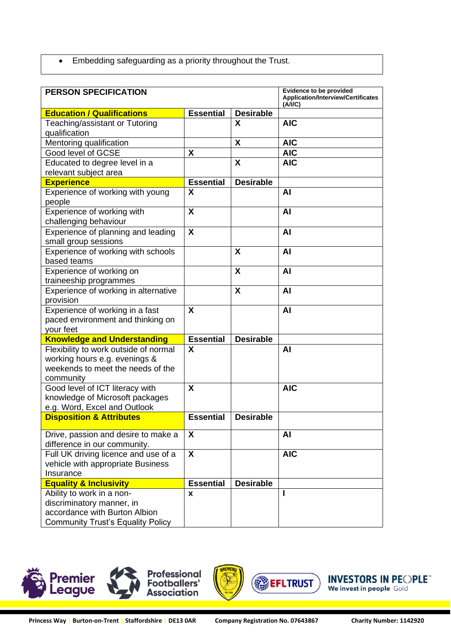• Embedding safeguarding as a priority throughout the Trust.

| <b>PERSON SPECIFICATION</b>              |                  | <b>Evidence to be provided</b>                       |            |
|------------------------------------------|------------------|------------------------------------------------------|------------|
|                                          |                  | <b>Application/Interview/Certificates</b><br>(A/I/C) |            |
| <b>Education / Qualifications</b>        | <b>Essential</b> | <b>Desirable</b>                                     |            |
| Teaching/assistant or Tutoring           |                  | X                                                    | <b>AIC</b> |
| qualification                            |                  |                                                      |            |
| Mentoring qualification                  |                  | X                                                    | <b>AIC</b> |
| Good level of GCSE                       | X                |                                                      | <b>AIC</b> |
| Educated to degree level in a            |                  | X                                                    | <b>AIC</b> |
| relevant subject area                    |                  |                                                      |            |
| <b>Experience</b>                        | <b>Essential</b> | <b>Desirable</b>                                     |            |
| Experience of working with young         | X                |                                                      | AI         |
| people                                   |                  |                                                      |            |
| Experience of working with               | X                |                                                      | AI         |
| challenging behaviour                    |                  |                                                      |            |
| Experience of planning and leading       | X                |                                                      | AI         |
| small group sessions                     |                  |                                                      |            |
| Experience of working with schools       |                  | X                                                    | <b>AI</b>  |
| based teams                              |                  |                                                      |            |
| Experience of working on                 |                  | X                                                    | AI         |
| traineeship programmes                   |                  |                                                      |            |
| Experience of working in alternative     |                  | X                                                    | <b>AI</b>  |
| provision                                |                  |                                                      |            |
| Experience of working in a fast          | X                |                                                      | AI         |
| paced environment and thinking on        |                  |                                                      |            |
| your feet                                |                  |                                                      |            |
| <b>Knowledge and Understanding</b>       | <b>Essential</b> | <b>Desirable</b>                                     |            |
| Flexibility to work outside of normal    | X                |                                                      | AI         |
| working hours e.g. evenings &            |                  |                                                      |            |
| weekends to meet the needs of the        |                  |                                                      |            |
| community                                |                  |                                                      |            |
| Good level of ICT literacy with          | X                |                                                      | <b>AIC</b> |
| knowledge of Microsoft packages          |                  |                                                      |            |
| e.g. Word, Excel and Outlook             |                  |                                                      |            |
| <b>Disposition &amp; Attributes</b>      | <b>Essential</b> | <b>Desirable</b>                                     |            |
| Drive, passion and desire to make a      | X                |                                                      | <b>AI</b>  |
| difference in our community.             |                  |                                                      |            |
| Full UK driving licence and use of a     | $\boldsymbol{X}$ |                                                      | <b>AIC</b> |
| vehicle with appropriate Business        |                  |                                                      |            |
| Insurance                                |                  |                                                      |            |
| <b>Equality &amp; Inclusivity</b>        | <b>Essential</b> | <b>Desirable</b>                                     |            |
| Ability to work in a non-                | X                |                                                      |            |
| discriminatory manner, in                |                  |                                                      |            |
| accordance with Burton Albion            |                  |                                                      |            |
| <b>Community Trust's Equality Policy</b> |                  |                                                      |            |





**INVESTORS IN PEOPLE** We invest in people Gold